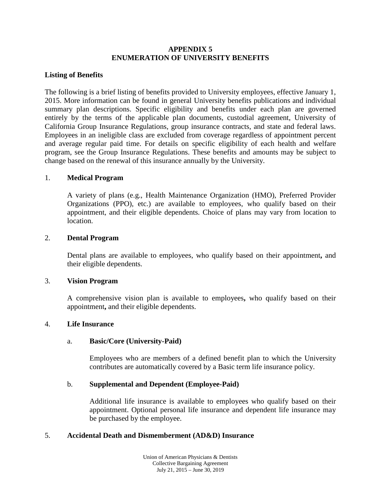### **APPENDIX 5 ENUMERATION OF UNIVERSITY BENEFITS**

### **Listing of Benefits**

The following is a brief listing of benefits provided to University employees, effective January 1, 2015. More information can be found in general University benefits publications and individual summary plan descriptions. Specific eligibility and benefits under each plan are governed entirely by the terms of the applicable plan documents, custodial agreement, University of California Group Insurance Regulations, group insurance contracts, and state and federal laws. Employees in an ineligible class are excluded from coverage regardless of appointment percent and average regular paid time. For details on specific eligibility of each health and welfare program, see the Group Insurance Regulations. These benefits and amounts may be subject to change based on the renewal of this insurance annually by the University.

### 1. **Medical Program**

A variety of plans (e.g., Health Maintenance Organization (HMO), Preferred Provider Organizations (PPO), etc.) are available to employees, who qualify based on their appointment, and their eligible dependents. Choice of plans may vary from location to location.

### 2. **Dental Program**

Dental plans are available to employees, who qualify based on their appointment**,** and their eligible dependents.

### 3. **Vision Program**

A comprehensive vision plan is available to employees**,** who qualify based on their appointment**,** and their eligible dependents.

### 4. **Life Insurance**

### a. **Basic/Core (University-Paid)**

Employees who are members of a defined benefit plan to which the University contributes are automatically covered by a Basic term life insurance policy.

### b. **Supplemental and Dependent (Employee-Paid)**

Additional life insurance is available to employees who qualify based on their appointment. Optional personal life insurance and dependent life insurance may be purchased by the employee.

### 5. **Accidental Death and Dismemberment (AD&D) Insurance**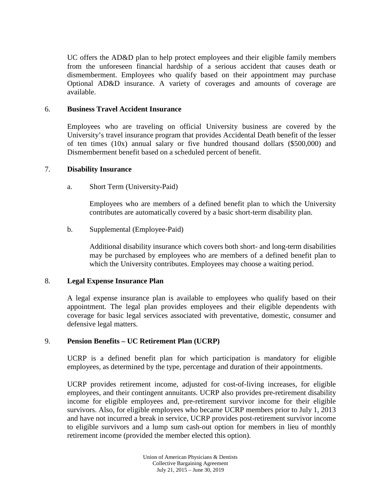UC offers the AD&D plan to help protect employees and their eligible family members from the unforeseen financial hardship of a serious accident that causes death or dismemberment. Employees who qualify based on their appointment may purchase Optional AD&D insurance. A variety of coverages and amounts of coverage are available.

### 6. **Business Travel Accident Insurance**

Employees who are traveling on official University business are covered by the University's travel insurance program that provides Accidental Death benefit of the lesser of ten times (10x) annual salary or five hundred thousand dollars (\$500,000) and Dismemberment benefit based on a scheduled percent of benefit.

#### 7. **Disability Insurance**

a. Short Term (University-Paid)

Employees who are members of a defined benefit plan to which the University contributes are automatically covered by a basic short-term disability plan.

b. Supplemental (Employee-Paid)

Additional disability insurance which covers both short- and long-term disabilities may be purchased by employees who are members of a defined benefit plan to which the University contributes. Employees may choose a waiting period.

### 8. **Legal Expense Insurance Plan**

A legal expense insurance plan is available to employees who qualify based on their appointment. The legal plan provides employees and their eligible dependents with coverage for basic legal services associated with preventative, domestic, consumer and defensive legal matters.

### 9. **Pension Benefits – UC Retirement Plan (UCRP)**

UCRP is a defined benefit plan for which participation is mandatory for eligible employees, as determined by the type, percentage and duration of their appointments.

UCRP provides retirement income, adjusted for cost-of-living increases, for eligible employees, and their contingent annuitants. UCRP also provides pre-retirement disability income for eligible employees and, pre-retirement survivor income for their eligible survivors. Also, for eligible employees who became UCRP members prior to July 1, 2013 and have not incurred a break in service, UCRP provides post-retirement survivor income to eligible survivors and a lump sum cash-out option for members in lieu of monthly retirement income (provided the member elected this option).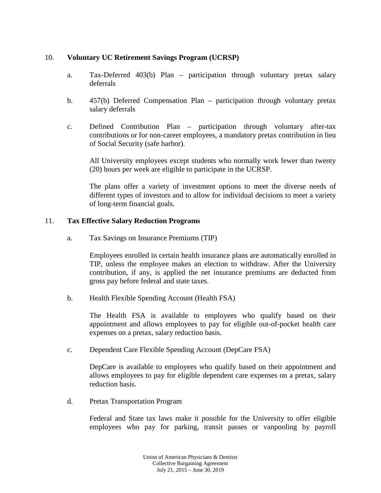# 10. **Voluntary UC Retirement Savings Program (UCRSP)**

- a. Tax-Deferred 403(b) Plan participation through voluntary pretax salary deferrals
- b. 457(b) Deferred Compensation Plan participation through voluntary pretax salary deferrals
- c. Defined Contribution Plan participation through voluntary after-tax contributions or for non-career employees, a mandatory pretax contribution in lieu of Social Security (safe harbor).

All University employees except students who normally work fewer than twenty (20) hours per week are eligible to participate in the UCRSP.

The plans offer a variety of investment options to meet the diverse needs of different types of investors and to allow for individual decisions to meet a variety of long-term financial goals.

### 11. **Tax Effective Salary Reduction Programs**

a. Tax Savings on Insurance Premiums (TIP)

Employees enrolled in certain health insurance plans are automatically enrolled in TIP, unless the employee makes an election to withdraw. After the University contribution, if any, is applied the net insurance premiums are deducted from gross pay before federal and state taxes.

b. Health Flexible Spending Account (Health FSA)

The Health FSA is available to employees who qualify based on their appointment and allows employees to pay for eligible out-of-pocket health care expenses on a pretax, salary reduction basis.

c. Dependent Care Flexible Spending Account (DepCare FSA)

DepCare is available to employees who qualify based on their appointment and allows employees to pay for eligible dependent care expenses on a pretax, salary reduction basis.

d. Pretax Transportation Program

Federal and State tax laws make it possible for the University to offer eligible employees who pay for parking, transit passes or vanpooling by payroll